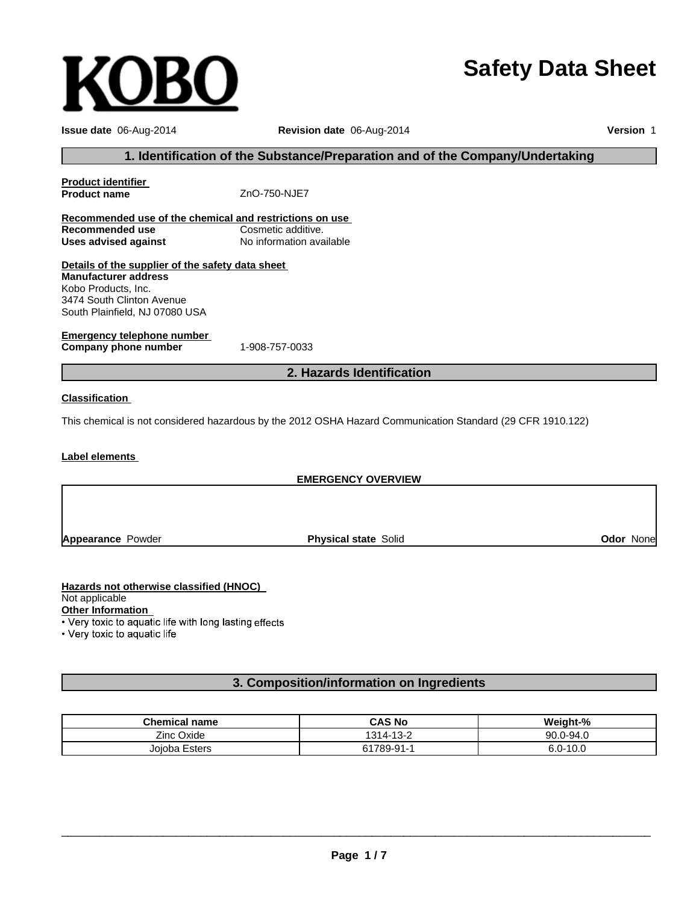# **Safety Data Sheet**

| Issue date 06-Aug-2014                                                                                     | Revision date 06-Aug-2014                                                     | Version 1 |  |
|------------------------------------------------------------------------------------------------------------|-------------------------------------------------------------------------------|-----------|--|
|                                                                                                            | 1. Identification of the Substance/Preparation and of the Company/Undertaking |           |  |
| <b>Product identifier</b>                                                                                  |                                                                               |           |  |
| <b>Product name</b>                                                                                        | ZnO-750-NJE7                                                                  |           |  |
| Recommended use of the chemical and restrictions on use                                                    |                                                                               |           |  |
| <b>Recommended use</b>                                                                                     | Cosmetic additive.                                                            |           |  |
| <b>Uses advised against</b>                                                                                | No information available                                                      |           |  |
| Details of the supplier of the safety data sheet                                                           |                                                                               |           |  |
| <b>Manufacturer address</b>                                                                                |                                                                               |           |  |
| Kobo Products, Inc.                                                                                        |                                                                               |           |  |
| 3474 South Clinton Avenue                                                                                  |                                                                               |           |  |
| South Plainfield, NJ 07080 USA                                                                             |                                                                               |           |  |
|                                                                                                            |                                                                               |           |  |
| <b>Emergency telephone number</b><br>Company phone number                                                  | 1-908-757-0033                                                                |           |  |
|                                                                                                            | 2. Hazards Identification                                                     |           |  |
| <b>Classification</b>                                                                                      |                                                                               |           |  |
| This chemical is not considered hazardous by the 2012 OSHA Hazard Communication Standard (29 CFR 1910.122) |                                                                               |           |  |
| <b>Label elements</b>                                                                                      |                                                                               |           |  |
| <b>EMERGENCY OVERVIEW</b>                                                                                  |                                                                               |           |  |
|                                                                                                            |                                                                               |           |  |
|                                                                                                            |                                                                               |           |  |

**Appearance** Powder

**Physical state** Solid **Odor** None

**Hazards not otherwise classified (HNOC)** Not applicable

**KOBO** 

Other Information<br>• Very toxic to aquatic life with long lasting effects

• Very toxic to aquatic life

# **3. Composition/information on Ingredients**

| <b>Chemical name</b> | <b>CAS No</b> | Weight-%     |
|----------------------|---------------|--------------|
| Zinc Oxide           | 1314-13-2     | 90.0-94.0    |
| Joioba Esters        | 61789-91-1    | $6.0 - 10.0$ |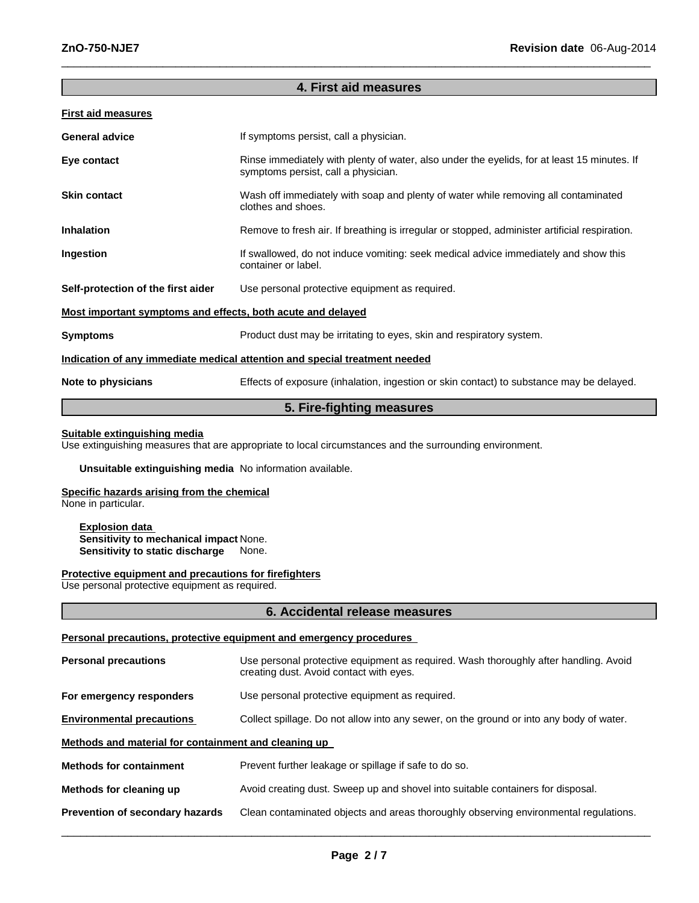# **4. First aid measures**

 $\_$  , and the set of the set of the set of the set of the set of the set of the set of the set of the set of the set of the set of the set of the set of the set of the set of the set of the set of the set of the set of th

# **First aid measures**

| <b>General advice</b>                                                      | If symptoms persist, call a physician.                                                                                             |  |
|----------------------------------------------------------------------------|------------------------------------------------------------------------------------------------------------------------------------|--|
| Eye contact                                                                | Rinse immediately with plenty of water, also under the eyelids, for at least 15 minutes. If<br>symptoms persist, call a physician. |  |
| <b>Skin contact</b>                                                        | Wash off immediately with soap and plenty of water while removing all contaminated<br>clothes and shoes.                           |  |
| <b>Inhalation</b>                                                          | Remove to fresh air. If breathing is irregular or stopped, administer artificial respiration.                                      |  |
| Ingestion                                                                  | If swallowed, do not induce vomiting: seek medical advice immediately and show this<br>container or label.                         |  |
| Self-protection of the first aider                                         | Use personal protective equipment as required.                                                                                     |  |
| <u>Most important symptoms and effects, both acute and delayed</u>         |                                                                                                                                    |  |
| <b>Symptoms</b>                                                            | Product dust may be irritating to eyes, skin and respiratory system.                                                               |  |
| Indication of any immediate medical attention and special treatment needed |                                                                                                                                    |  |
| Note to physicians                                                         | Effects of exposure (inhalation, ingestion or skin contact) to substance may be delayed.                                           |  |

# **5. Fire-fighting measures**

# **Suitable extinguishing media**

Use extinguishing measures that are appropriate to local circumstances and the surrounding environment.

# **Unsuitable extinguishing media** No information available.

# **Specific hazards arising from the chemical**

None in particular.

**Explosion data Sensitivity to mechanical impact** None. **Sensitivity to static discharge** None.

#### **Protective equipment and precautions for firefighters**

Use personal protective equipment as required.

# **6. Accidental release measures**

#### **Personal precautions, protective equipment and emergency procedures**

| <b>Personal precautions</b>                          | Use personal protective equipment as required. Wash thoroughly after handling. Avoid<br>creating dust. Avoid contact with eyes. |  |  |
|------------------------------------------------------|---------------------------------------------------------------------------------------------------------------------------------|--|--|
| For emergency responders                             | Use personal protective equipment as required.                                                                                  |  |  |
| <b>Environmental precautions</b>                     | Collect spillage. Do not allow into any sewer, on the ground or into any body of water.                                         |  |  |
| Methods and material for containment and cleaning up |                                                                                                                                 |  |  |
| <b>Methods for containment</b>                       | Prevent further leakage or spillage if safe to do so.                                                                           |  |  |
| Methods for cleaning up                              | Avoid creating dust. Sweep up and shovel into suitable containers for disposal.                                                 |  |  |
| Prevention of secondary hazards                      | Clean contaminated objects and areas thoroughly observing environmental regulations.                                            |  |  |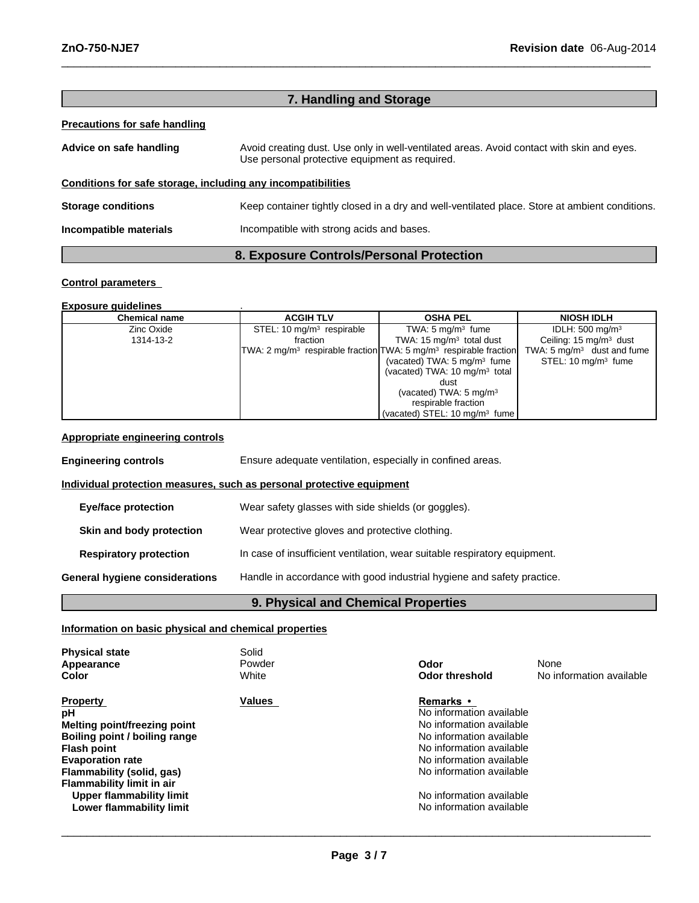| 7. Handling and Storage                                      |                                                                                                                                             |  |  |
|--------------------------------------------------------------|---------------------------------------------------------------------------------------------------------------------------------------------|--|--|
| <b>Precautions for safe handling</b>                         |                                                                                                                                             |  |  |
| Advice on safe handling                                      | Avoid creating dust. Use only in well-ventilated areas. Avoid contact with skin and eyes.<br>Use personal protective equipment as required. |  |  |
| Conditions for safe storage, including any incompatibilities |                                                                                                                                             |  |  |
| <b>Storage conditions</b>                                    | Keep container tightly closed in a dry and well-ventilated place. Store at ambient conditions.                                              |  |  |
| Incompatible materials                                       | Incompatible with strong acids and bases.                                                                                                   |  |  |
| 8. Exposure Controls/Personal Protection                     |                                                                                                                                             |  |  |

 $\_$  , and the set of the set of the set of the set of the set of the set of the set of the set of the set of the set of the set of the set of the set of the set of the set of the set of the set of the set of the set of th

# **Control parameters**

# **Exposure guidelines** .

| <b>Chemical name</b> | <b>ACGIH TLV</b>                                                                          | <b>OSHA PEL</b>                           | <b>NIOSH IDLH</b>                     |
|----------------------|-------------------------------------------------------------------------------------------|-------------------------------------------|---------------------------------------|
| Zinc Oxide           | STEL: 10 $mq/m3$ respirable                                                               | TWA: $5 \text{ mg/m}^3$ fume              | IDLH: $500 \text{ mg/m}^3$            |
| 1314-13-2            | fraction                                                                                  | TWA: 15 $mg/m3$ total dust                | Ceiling: $15 \text{ mg/m}^3$ dust     |
|                      | TWA: 2 mg/m <sup>3</sup> respirable fraction TWA: 5 mg/m <sup>3</sup> respirable fraction |                                           | TWA: $5 \text{ mg/m}^3$ dust and fume |
|                      |                                                                                           | (vacated) TWA: $5 \text{ mg/m}^3$ fume    | STEL: $10 \text{ ma/m}^3$ fume        |
|                      |                                                                                           | (vacated) TWA: 10 mg/m <sup>3</sup> total |                                       |
|                      |                                                                                           | dust                                      |                                       |
|                      |                                                                                           | (vacated) TWA: $5 \text{ mg/m}^3$         |                                       |
|                      |                                                                                           | respirable fraction                       |                                       |
|                      |                                                                                           | (vacated) STEL: 10 mg/m <sup>3</sup> fume |                                       |

# **Appropriate engineering controls**

| <b>Engineering controls</b>    | Ensure adequate ventilation, especially in confined areas.                |  |
|--------------------------------|---------------------------------------------------------------------------|--|
|                                | Individual protection measures, such as personal protective equipment     |  |
| Eye/face protection            | Wear safety glasses with side shields (or goggles).                       |  |
| Skin and body protection       | Wear protective gloves and protective clothing.                           |  |
| <b>Respiratory protection</b>  | In case of insufficient ventilation, wear suitable respiratory equipment. |  |
| General hygiene considerations | Handle in accordance with good industrial hygiene and safety practice.    |  |
|                                |                                                                           |  |

# **9. Physical and Chemical Properties**

# **Information on basic physical and chemical properties**

| <b>Physical state</b><br>Appearance<br>Color                                                                                                                                                                                                                     | Solid<br>Powder<br>White | Odor<br>Odor threshold                                                                                                                                                                                                                           | None<br>No information available |
|------------------------------------------------------------------------------------------------------------------------------------------------------------------------------------------------------------------------------------------------------------------|--------------------------|--------------------------------------------------------------------------------------------------------------------------------------------------------------------------------------------------------------------------------------------------|----------------------------------|
| <b>Property</b><br>рH<br>Melting point/freezing point<br>Boiling point / boiling range<br><b>Flash point</b><br><b>Evaporation rate</b><br>Flammability (solid, gas)<br>Flammability limit in air<br><b>Upper flammability limit</b><br>Lower flammability limit | <b>Values</b>            | <b>Remarks</b> •<br>No information available<br>No information available<br>No information available<br>No information available<br>No information available<br>No information available<br>No information available<br>No information available |                                  |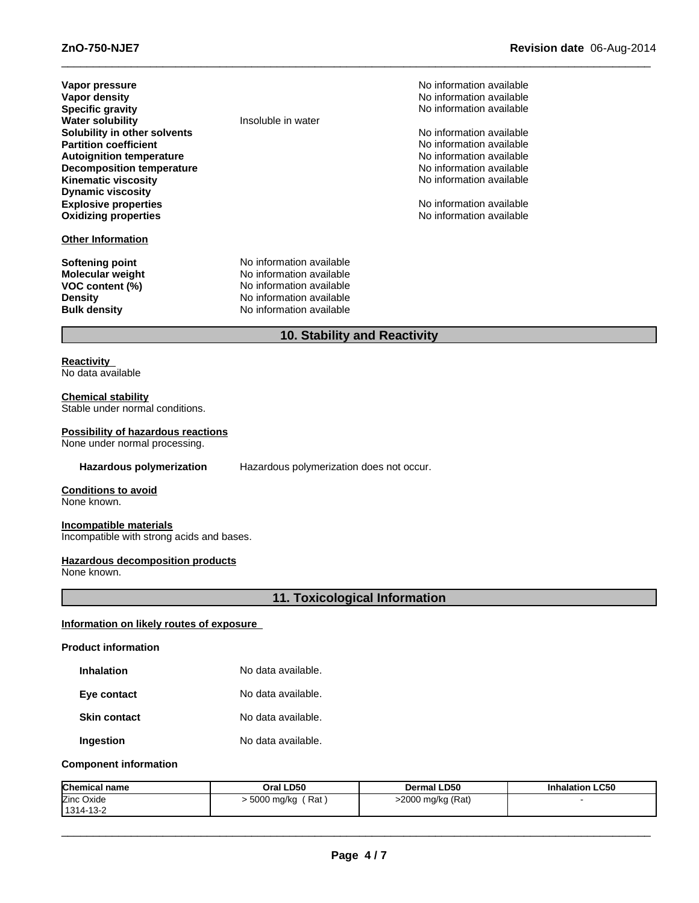| Vapor pressure                   |
|----------------------------------|
| Vapor density                    |
| <b>Specific gravity</b>          |
| <b>Water solubility</b>          |
| Solubility in other solvents     |
| <b>Partition coefficient</b>     |
| <b>Autoignition temperature</b>  |
| <b>Decomposition temperature</b> |
| <b>Kinematic viscosity</b>       |
| <b>Dynamic viscosity</b>         |
| <b>Explosive properties</b>      |
| <b>Oxidizing properties</b>      |
|                                  |

# **Other Information**

**Insoluble in water** 

**Softening point** No information available **Molecular weight** No information available **VOC content (%)** No information available **Density** No information available **Bulk density** No information available

**No information available No information available Specific gravity** No information available

**No information available No information available No information available No information available No information available** 

No information available **Oxidizing properties** No information available

# **10. Stability and Reactivity**

 $\_$  , and the set of the set of the set of the set of the set of the set of the set of the set of the set of the set of the set of the set of the set of the set of the set of the set of the set of the set of the set of th

# **Reactivity** No data available

#### **Chemical stability**

Stable under normal conditions.

# **Possibility of hazardous reactions**

None under normal processing.

**Hazardous polymerization** Hazardous polymerization does not occur.

# **Conditions to avoid**

None known.

#### **Incompatible materials**

Incompatible with strong acids and bases.

# **Hazardous decomposition products**

None known.

# **11. Toxicological Information**

# **Information on likely routes of exposure**

#### **Product information**

| <b>Inhalation</b> | No data available. |
|-------------------|--------------------|
|                   |                    |

| No data available. |
|--------------------|
|                    |

**Skin contact** No data available.

**Ingestion** No data available.

# **Component information**

| <b>Chemical name</b> | Oral LD50         | <b>Dermal LD50</b> | <b>Inhalation LC50</b> |
|----------------------|-------------------|--------------------|------------------------|
| Zinc Oxide           | Rat<br>5000 mg/kg | >2000 mg/kg (Rat)  |                        |
| 1314-13-2            |                   |                    |                        |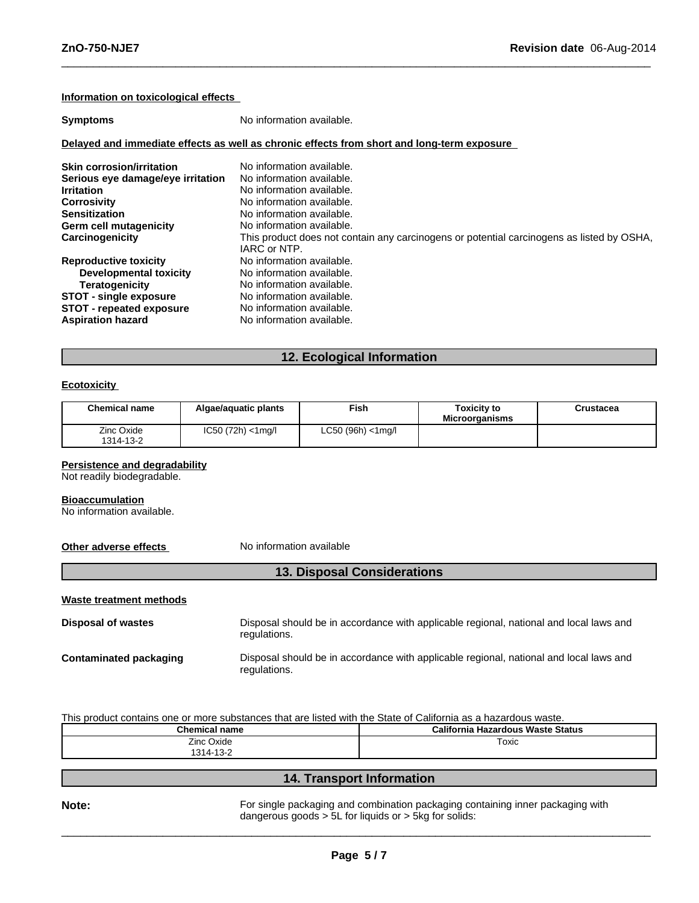# **Information on toxicological effects**

| <b>Symptoms</b>                   | No information available.                                                                                 |
|-----------------------------------|-----------------------------------------------------------------------------------------------------------|
|                                   | Delayed and immediate effects as well as chronic effects from short and long-term exposure                |
| <b>Skin corrosion/irritation</b>  | No information available.                                                                                 |
| Serious eye damage/eye irritation | No information available.                                                                                 |
| <b>Irritation</b>                 | No information available.                                                                                 |
| <b>Corrosivity</b>                | No information available.                                                                                 |
| <b>Sensitization</b>              | No information available.                                                                                 |
| <b>Germ cell mutagenicity</b>     | No information available.                                                                                 |
| Carcinogenicity                   | This product does not contain any carcinogens or potential carcinogens as listed by OSHA,<br>IARC or NTP. |
| <b>Reproductive toxicity</b>      | No information available.                                                                                 |
| Developmental toxicity            | No information available.                                                                                 |
| <b>Teratogenicity</b>             | No information available.                                                                                 |
| <b>STOT - single exposure</b>     | No information available.                                                                                 |
| <b>STOT - repeated exposure</b>   | No information available.                                                                                 |
| <b>Aspiration hazard</b>          | No information available.                                                                                 |

 $\_$  , and the set of the set of the set of the set of the set of the set of the set of the set of the set of the set of the set of the set of the set of the set of the set of the set of the set of the set of the set of th

# **12. Ecological Information**

## **Ecotoxicity**

| <b>Chemical name</b>    | Algae/aguatic plants  | <b>Fish</b>            | <b>Toxicity to</b><br><b>Microorganisms</b> | Crustacea |
|-------------------------|-----------------------|------------------------|---------------------------------------------|-----------|
| Zinc Oxide<br>1314-13-2 | $IC50 (72h) < 1$ mg/l | $LC50$ (96h) $<$ 1mg/l |                                             |           |

## **Persistence and degradability**

Not readily biodegradable.

#### **Bioaccumulation**

No information available.

**Other adverse effects** No information available

# **13. Disposal Considerations**

**Waste treatment methods**

**Disposal of wastes** Disposal should be in accordance with applicable regional, national and local laws and regulations. **Contaminated packaging** Disposal should be in accordance with applicable regional, national and local laws and regulations.

This product contains one or more substances that are listed with the State of California as a hazardous waste.

| Chemical name        | California Hazardous Waste Status |
|----------------------|-----------------------------------|
| Zinc Oxide           | Toxic                             |
| 1314-13-2<br>$\cdot$ |                                   |
|                      |                                   |

# **14. Transport Information**

**Note:** For single packaging and combination packaging containing inner packaging with dangerous goods > 5L for liquids or > 5kg for solids: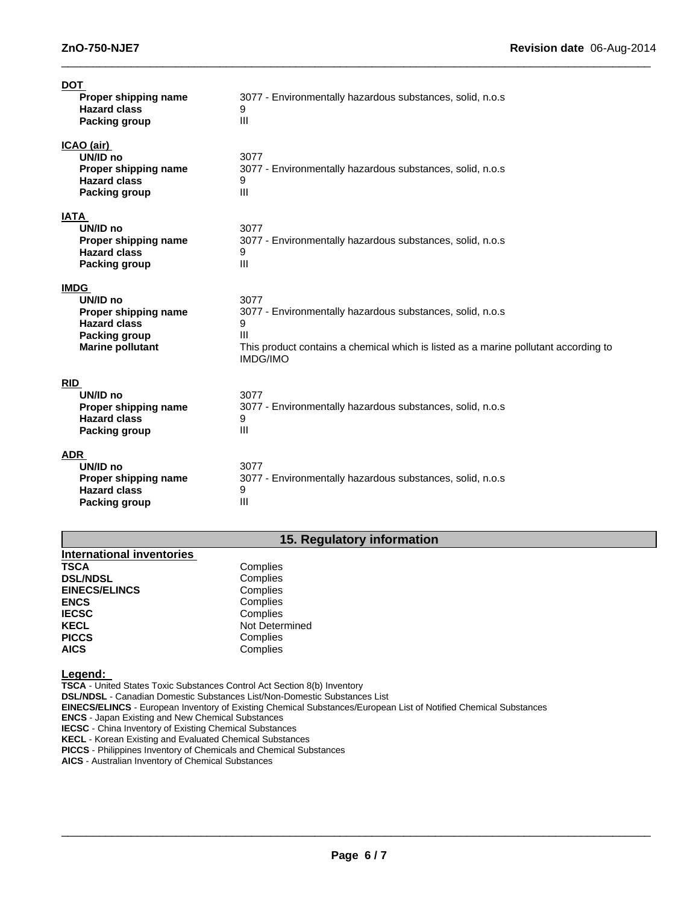| <b>DOT</b><br>Proper shipping name<br><b>Hazard class</b><br><b>Packing group</b>                                         | 3077 - Environmentally hazardous substances, solid, n.o.s<br>9<br>Ш                                                                                                                                |
|---------------------------------------------------------------------------------------------------------------------------|----------------------------------------------------------------------------------------------------------------------------------------------------------------------------------------------------|
| <u>ICAO (air)</u><br>UN/ID no<br>Proper shipping name<br><b>Hazard class</b><br><b>Packing group</b>                      | 3077<br>3077 - Environmentally hazardous substances, solid, n.o.s<br>9<br>III                                                                                                                      |
| <b>IATA</b><br>UN/ID no<br>Proper shipping name<br><b>Hazard class</b><br><b>Packing group</b>                            | 3077<br>3077 - Environmentally hazardous substances, solid, n.o.s<br>9<br>III                                                                                                                      |
| <b>IMDG</b><br>UN/ID no<br>Proper shipping name<br><b>Hazard class</b><br><b>Packing group</b><br><b>Marine pollutant</b> | 3077<br>3077 - Environmentally hazardous substances, solid, n.o.s<br>9<br>$\mathbf{III}$<br>This product contains a chemical which is listed as a marine pollutant according to<br><b>IMDG/IMO</b> |
| <b>RID</b><br>UN/ID no<br>Proper shipping name<br><b>Hazard class</b><br><b>Packing group</b>                             | 3077<br>3077 - Environmentally hazardous substances, solid, n.o.s<br>9<br>III                                                                                                                      |
| <b>ADR</b><br>UN/ID no<br>Proper shipping name<br><b>Hazard class</b><br>Packing group                                    | 3077<br>3077 - Environmentally hazardous substances, solid, n.o.s<br>9<br>III                                                                                                                      |

 $\_$  , and the set of the set of the set of the set of the set of the set of the set of the set of the set of the set of the set of the set of the set of the set of the set of the set of the set of the set of the set of th

# **15. Regulatory information**

| Complies       |
|----------------|
| Complies       |
| Complies       |
| Complies       |
| Complies       |
| Not Determined |
| Complies       |
| Complies       |
|                |

**Legend:**

**TSCA** - United States Toxic Substances Control Act Section 8(b) Inventory **DSL/NDSL** - Canadian Domestic Substances List/Non-Domestic Substances List **EINECS/ELINCS** - European Inventory of Existing Chemical Substances/European List of Notified Chemical Substances **ENCS** - Japan Existing and New Chemical Substances

**IECSC** - China Inventory of Existing Chemical Substances

**KECL** - Korean Existing and Evaluated Chemical Substances

**PICCS** - Philippines Inventory of Chemicals and Chemical Substances

**AICS** - Australian Inventory of Chemical Substances